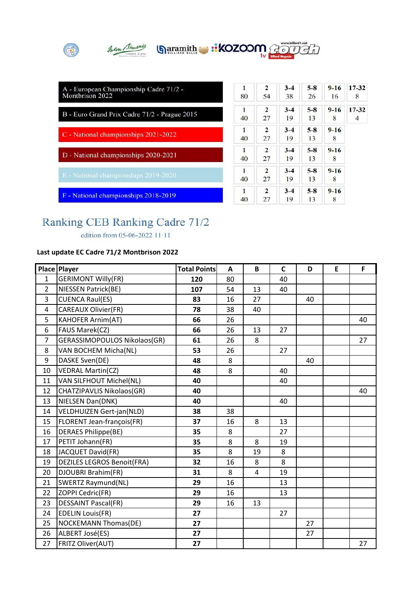

| A - European Championship Cadre 71/2 -<br>Montbrison 2022 | 1<br>80 | 2<br>54            | $3 - 4$<br>38 | $5 - 8$<br>26 | $9 - 16$<br>16 | $17 - 32$<br>8 |
|-----------------------------------------------------------|---------|--------------------|---------------|---------------|----------------|----------------|
| B - Euro Grand Prix Cadre 71/2 - Prague 2015              | 1<br>40 | $\mathbf{2}$<br>27 | $3 - 4$<br>19 | $5 - 8$<br>13 | $9 - 16$<br>8  | $17 - 32$<br>4 |
| C - National championships 2021-2022                      | 1<br>40 | $\mathbf{2}$<br>27 | $3 - 4$<br>19 | $5-8$<br>13   | $9 - 16$<br>8  |                |
| D - National championships 2020-2021                      | 1<br>40 | $\mathbf{2}$<br>27 | $3 - 4$<br>19 | $5 - 8$<br>13 | $9 - 16$<br>8  |                |
| E - National championships 2019-2020                      | 1<br>40 | $\mathbf{2}$<br>27 | $3-4$<br>19   | $5 - 8$<br>13 | $9 - 16$<br>8  |                |
| F - National championships 2018-2019                      | 1<br>40 | $\mathbf{2}$<br>27 | $3 - 4$<br>19 | $5 - 8$<br>13 | $9 - 16$<br>8  |                |

## Ranking CEB Ranking Cadre 71/2

edition from 05-06-2022 11:11

## **Last update EC Cadre 71/2 Montbrison 2022**

|                | Place Player                      | <b>Total Points</b> | A  | B  | $\mathsf{C}$ | D  | E | F  |
|----------------|-----------------------------------|---------------------|----|----|--------------|----|---|----|
| 1              | <b>GERIMONT Willy(FR)</b>         | 120                 | 80 |    | 40           |    |   |    |
| $\overline{2}$ | NIESSEN Patrick(BE)               | 107                 | 54 | 13 | 40           |    |   |    |
| 3              | <b>CUENCA Raul(ES)</b>            | 83                  | 16 | 27 |              | 40 |   |    |
| 4              | <b>CAREAUX Olivier(FR)</b>        | 78                  | 38 | 40 |              |    |   |    |
| 5              | <b>KAHOFER Arnim(AT)</b>          | 66                  | 26 |    |              |    |   | 40 |
| 6              | FAUS Marek(CZ)                    | 66                  | 26 | 13 | 27           |    |   |    |
| 7              | GERASSIMOPOULOS Nikolaos(GR)      | 61                  | 26 | 8  |              |    |   | 27 |
| 8              | VAN BOCHEM Micha(NL)              | 53                  | 26 |    | 27           |    |   |    |
| 9              | DASKE Sven(DE)                    | 48                  | 8  |    |              | 40 |   |    |
| 10             | <b>VEDRAL Martin(CZ)</b>          | 48                  | 8  |    | 40           |    |   |    |
| 11             | VAN SILFHOUT Michel(NL)           | 40                  |    |    | 40           |    |   |    |
| 12             | CHATZIPAVLIS Nikolaos(GR)         | 40                  |    |    |              |    |   | 40 |
| 13             | NIELSEN Dan(DNK)                  | 40                  |    |    | 40           |    |   |    |
| 14             | <b>VELDHUIZEN Gert-jan(NLD)</b>   | 38                  | 38 |    |              |    |   |    |
| 15             | <b>FLORENT Jean-françois(FR)</b>  | 37                  | 16 | 8  | 13           |    |   |    |
| 16             | <b>DERAES Philippe(BE)</b>        | 35                  | 8  |    | 27           |    |   |    |
| 17             | PETIT Johann(FR)                  | 35                  | 8  | 8  | 19           |    |   |    |
| 18             | JACQUET David(FR)                 | 35                  | 8  | 19 | 8            |    |   |    |
| 19             | <b>DEZILES LEGROS Benoit(FRA)</b> | 32                  | 16 | 8  | 8            |    |   |    |
| 20             | DJOUBRI Brahim(FR)                | 31                  | 8  | 4  | 19           |    |   |    |
| 21             | SWERTZ Raymund(NL)                | 29                  | 16 |    | 13           |    |   |    |
| 22             | ZOPPI Cedric(FR)                  | 29                  | 16 |    | 13           |    |   |    |
| 23             | <b>DESSAINT Pascal(FR)</b>        | 29                  | 16 | 13 |              |    |   |    |
| 24             | <b>EDELIN Louis(FR)</b>           | 27                  |    |    | 27           |    |   |    |
| 25             | <b>NOCKEMANN Thomas(DE)</b>       | 27                  |    |    |              | 27 |   |    |
| 26             | ALBERT José(ES)                   | 27                  |    |    |              | 27 |   |    |
| 27             | FRITZ Oliver(AUT)                 | 27                  |    |    |              |    |   | 27 |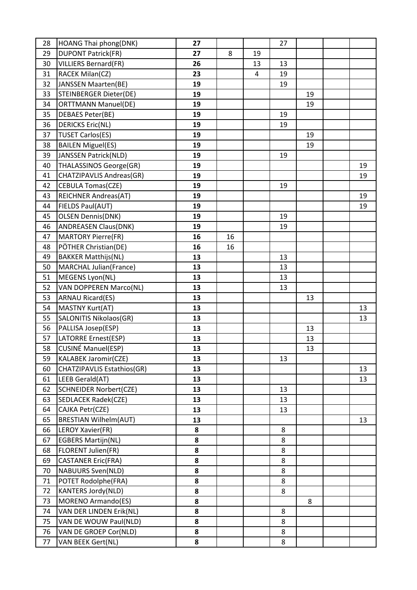| 28 | HOANG Thai phong(DNK)             | 27 |    |    | 27 |    |    |
|----|-----------------------------------|----|----|----|----|----|----|
| 29 | <b>DUPONT Patrick(FR)</b>         | 27 | 8  | 19 |    |    |    |
| 30 | <b>VILLIERS Bernard(FR)</b>       | 26 |    | 13 | 13 |    |    |
| 31 | RACEK Milan(CZ)                   | 23 |    | 4  | 19 |    |    |
| 32 | JANSSEN Maarten(BE)               | 19 |    |    | 19 |    |    |
| 33 | <b>STEINBERGER Dieter(DE)</b>     | 19 |    |    |    | 19 |    |
| 34 | <b>ORTTMANN Manuel(DE)</b>        | 19 |    |    |    | 19 |    |
| 35 | <b>DEBAES Peter(BE)</b>           | 19 |    |    | 19 |    |    |
| 36 | <b>DERICKS Eric(NL)</b>           | 19 |    |    | 19 |    |    |
| 37 | <b>TUSET Carlos(ES)</b>           | 19 |    |    |    | 19 |    |
| 38 | <b>BAILEN Miguel(ES)</b>          | 19 |    |    |    | 19 |    |
| 39 | JANSSEN Patrick(NLD)              | 19 |    |    | 19 |    |    |
| 40 | <b>THALASSINOS George(GR)</b>     | 19 |    |    |    |    | 19 |
| 41 | CHATZIPAVLIS Andreas(GR)          | 19 |    |    |    |    | 19 |
| 42 | <b>CEBULA Tomas(CZE)</b>          | 19 |    |    | 19 |    |    |
| 43 | <b>REICHNER Andreas(AT)</b>       | 19 |    |    |    |    | 19 |
| 44 | FIELDS Paul(AUT)                  | 19 |    |    |    |    | 19 |
| 45 | <b>OLSEN Dennis(DNK)</b>          | 19 |    |    | 19 |    |    |
| 46 | <b>ANDREASEN Claus(DNK)</b>       | 19 |    |    | 19 |    |    |
| 47 | <b>MARTORY Pierre(FR)</b>         | 16 | 16 |    |    |    |    |
| 48 | PÖTHER Christian(DE)              | 16 | 16 |    |    |    |    |
| 49 | <b>BAKKER Matthijs(NL)</b>        | 13 |    |    | 13 |    |    |
| 50 | <b>MARCHAL Julian(France)</b>     | 13 |    |    | 13 |    |    |
| 51 | MEGENS Lyon(NL)                   | 13 |    |    | 13 |    |    |
| 52 | VAN DOPPEREN Marco(NL)            | 13 |    |    | 13 |    |    |
| 53 | <b>ARNAU Ricard(ES)</b>           | 13 |    |    |    | 13 |    |
| 54 | MASTNY Kurt(AT)                   | 13 |    |    |    |    | 13 |
| 55 | <b>SALONITIS Nikolaos(GR)</b>     | 13 |    |    |    |    | 13 |
| 56 | PALLISA Josep(ESP)                | 13 |    |    |    | 13 |    |
| 57 | LATORRE Ernest(ESP)               | 13 |    |    |    | 13 |    |
| 58 | CUSINÉ Manuel(ESP)                | 13 |    |    |    | 13 |    |
| 59 | KALABEK Jaromir(CZE)              | 13 |    |    | 13 |    |    |
| 60 | <b>CHATZIPAVLIS Estathios(GR)</b> | 13 |    |    |    |    | 13 |
| 61 | LEEB Gerald(AT)                   | 13 |    |    |    |    | 13 |
| 62 | <b>SCHNEIDER Norbert(CZE)</b>     | 13 |    |    | 13 |    |    |
| 63 | <b>SEDLACEK Radek(CZE)</b>        | 13 |    |    | 13 |    |    |
| 64 | CAJKA Petr(CZE)                   | 13 |    |    | 13 |    |    |
| 65 | <b>BRESTIAN Wilhelm(AUT)</b>      | 13 |    |    |    |    | 13 |
| 66 | LEROY Xavier(FR)                  | 8  |    |    | 8  |    |    |
| 67 | <b>EGBERS Martijn(NL)</b>         | 8  |    |    | 8  |    |    |
| 68 | FLORENT Julien(FR)                | 8  |    |    | 8  |    |    |
| 69 | <b>CASTANER Eric(FRA)</b>         | 8  |    |    | 8  |    |    |
| 70 | <b>NABUURS Sven(NLD)</b>          | 8  |    |    | 8  |    |    |
| 71 | POTET Rodolphe(FRA)               | 8  |    |    | 8  |    |    |
| 72 | <b>KANTERS Jordy(NLD)</b>         | 8  |    |    | 8  |    |    |
| 73 | <b>MORENO Armando(ES)</b>         | 8  |    |    |    | 8  |    |
| 74 | VAN DER LINDEN Erik(NL)           | 8  |    |    | 8  |    |    |
| 75 | VAN DE WOUW Paul(NLD)             | 8  |    |    | 8  |    |    |
| 76 | VAN DE GROEP Cor(NLD)             | 8  |    |    | 8  |    |    |
| 77 | VAN BEEK Gert(NL)                 | 8  |    |    | 8  |    |    |